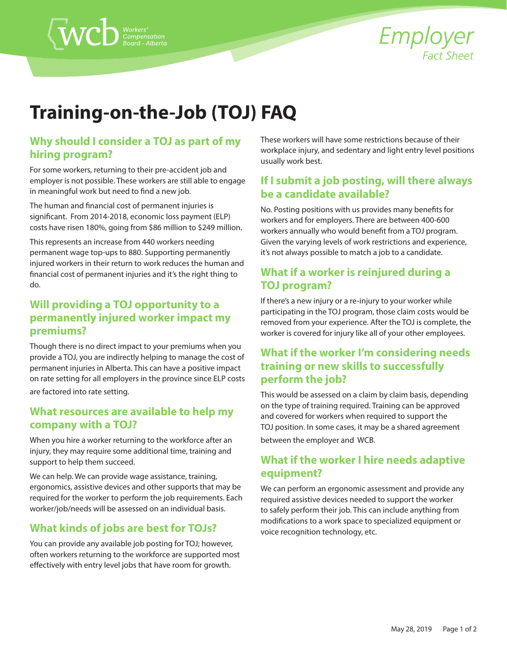

# **Training-on-the-Job (TOJ) FAQ**

#### **Why should I consider a TOJ as part of my hiring program?**

 $\langle$  WCD  $\overset{\text{\tiny{Workers'}}}{\underset{\text{Borel-Alberta}}{\text{MUC}}}$ 

For some workers, returning to their pre-accident job and employer is not possible. These workers are still able to engage in meaningful work but need to find a new job.

The human and financial cost of permanent injuries is significant. From 2014-2018, economic loss payment (ELP) costs have risen 180%, going from \$86 million to \$249 million.

This represents an increase from 440 workers needing permanent wage top-ups to 880. Supporting permanently injured workers in their return to work reduces the human and financial cost of permanent injuries and it's the right thing to do.

# **Will providing a TOJ opportunity to a permanently injured worker impact my premiums?**

Though there is no direct impact to your premiums when you provide a TOJ, you are indirectly helping to manage the cost of permanent injuries in Alberta. This can have a positive impact on rate setting for all employers in the province since ELP costs are factored into rate setting.

#### **What resources are available to help my company with a TOJ?**

When you hire a worker returning to the workforce after an injury, they may require some additional time, training and support to help them succeed.

We can help. We can provide wage assistance, training, ergonomics, assistive devices and other supports that may be required for the worker to perform the job requirements. Each worker/job/needs will be assessed on an individual basis.

# **What kinds of jobs are best for TOJs?**

You can provide any available job posting for TOJ; however, often workers returning to the workforce are supported most effectively with entry level jobs that have room for growth.

These workers will have some restrictions because of their workplace injury, and sedentary and light entry level positions usually work best.

# **If I submit a job posting, will there always be a candidate available?**

No. Posting positions with us provides many benefits for workers and for employers. There are between 400-600 workers annually who would benefit from a TOJ program. Given the varying levels of work restrictions and experience, it's not always possible to match a job to a candidate.

# **What if a worker is reinjured during a TOJ program?**

If there's a new injury or a re-injury to your worker while participating in the TOJ program, those claim costs would be removed from your experience. After the TOJ is complete, the worker is covered for injury like all of your other employees.

# **What if the worker I'm considering needs training or new skills to successfully perform the job?**

This would be assessed on a claim by claim basis, depending on the type of training required. Training can be approved and covered for workers when required to support the TOJ position. In some cases, it may be a shared agreement between the employer and WCB.

# **What if the worker I hire needs adaptive equipment?**

We can perform an ergonomic assessment and provide any required assistive devices needed to support the worker to safely perform their job. This can include anything from modifications to a work space to specialized equipment or voice recognition technology, etc.